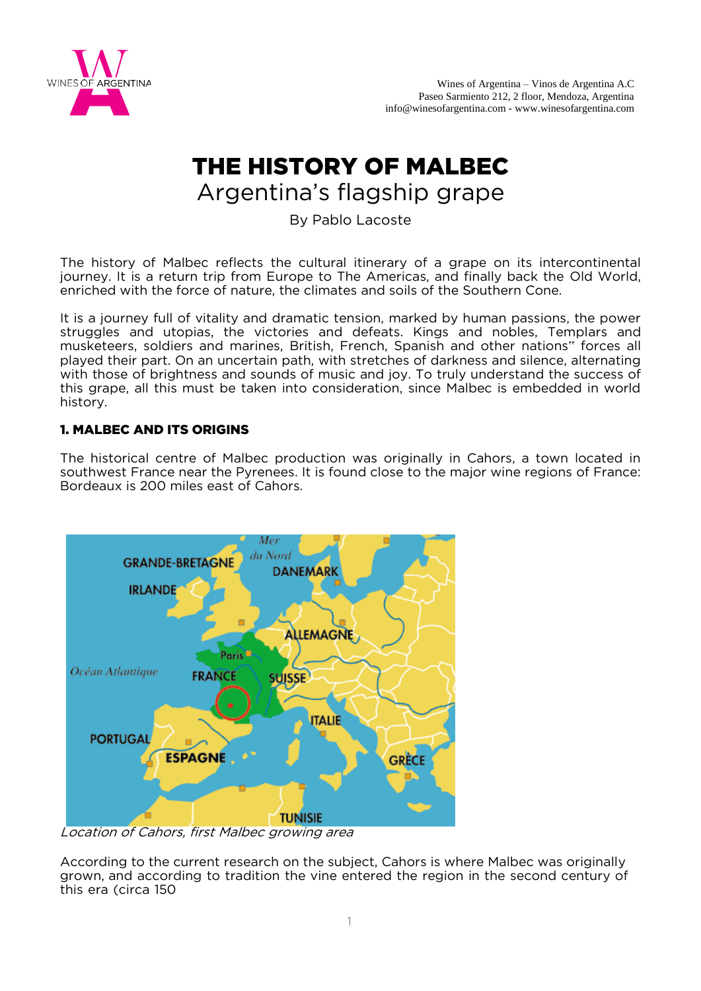

# THE HISTORY OF MALBEC Argentina's flagship grape

By Pablo Lacoste

The history of Malbec reflects the cultural itinerary of a grape on its intercontinental journey. It is a return trip from Europe to The Americas, and finally back the Old World, enriched with the force of nature, the climates and soils of the Southern Cone.

It is a journey full of vitality and dramatic tension, marked by human passions, the power struggles and utopias, the victories and defeats. Kings and nobles, Templars and musketeers, soldiers and marines, British, French, Spanish and other nations" forces all played their part. On an uncertain path, with stretches of darkness and silence, alternating with those of brightness and sounds of music and joy. To truly understand the success of this grape, all this must be taken into consideration, since Malbec is embedded in world history.

## 1. MALBEC AND ITS ORIGINS

The historical centre of Malbec production was originally in Cahors, a town located in southwest France near the Pyrenees. It is found close to the major wine regions of France: Bordeaux is 200 miles east of Cahors.



Location of Cahors, first Malbec growing area

According to the current research on the subject, Cahors is where Malbec was originally grown, and according to tradition the vine entered the region in the second century of this era (circa 150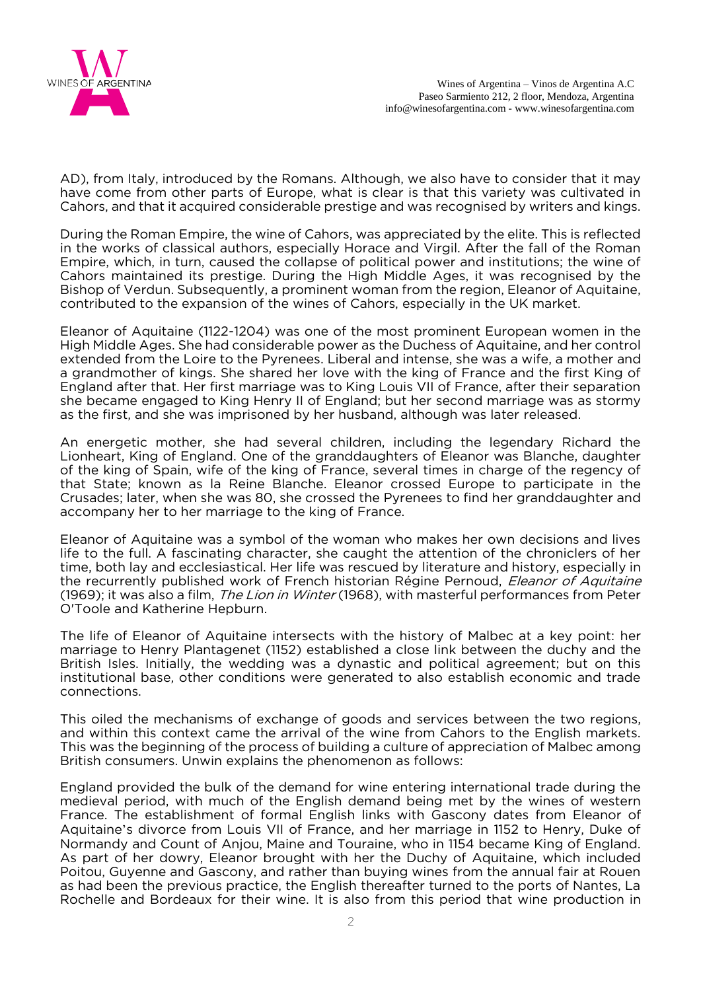

AD), from Italy, introduced by the Romans. Although, we also have to consider that it may have come from other parts of Europe, what is clear is that this variety was cultivated in Cahors, and that it acquired considerable prestige and was recognised by writers and kings.

During the Roman Empire, the wine of Cahors, was appreciated by the elite. This is reflected in the works of classical authors, especially Horace and Virgil. After the fall of the Roman Empire, which, in turn, caused the collapse of political power and institutions; the wine of Cahors maintained its prestige. During the High Middle Ages, it was recognised by the Bishop of Verdun. Subsequently, a prominent woman from the region, Eleanor of Aquitaine, contributed to the expansion of the wines of Cahors, especially in the UK market.

Eleanor of Aquitaine (1122-1204) was one of the most prominent European women in the High Middle Ages. She had considerable power as the Duchess of Aquitaine, and her control extended from the Loire to the Pyrenees. Liberal and intense, she was a wife, a mother and a grandmother of kings. She shared her love with the king of France and the first King of England after that. Her first marriage was to King Louis VII of France, after their separation she became engaged to King Henry II of England; but her second marriage was as stormy as the first, and she was imprisoned by her husband, although was later released.

An energetic mother, she had several children, including the legendary Richard the Lionheart, King of England. One of the granddaughters of Eleanor was Blanche, daughter of the king of Spain, wife of the king of France, several times in charge of the regency of that State; known as la Reine Blanche. Eleanor crossed Europe to participate in the Crusades; later, when she was 80, she crossed the Pyrenees to find her granddaughter and accompany her to her marriage to the king of France.

Eleanor of Aquitaine was a symbol of the woman who makes her own decisions and lives life to the full. A fascinating character, she caught the attention of the chroniclers of her time, both lay and ecclesiastical. Her life was rescued by literature and history, especially in the recurrently published work of French historian Régine Pernoud, *Eleanor of Aquitaine* (1969); it was also a film, *The Lion in Winter* (1968), with masterful performances from Peter O'Toole and Katherine Hepburn.

The life of Eleanor of Aquitaine intersects with the history of Malbec at a key point: her marriage to Henry Plantagenet (1152) established a close link between the duchy and the British Isles. Initially, the wedding was a dynastic and political agreement; but on this institutional base, other conditions were generated to also establish economic and trade connections.

This oiled the mechanisms of exchange of goods and services between the two regions, and within this context came the arrival of the wine from Cahors to the English markets. This was the beginning of the process of building a culture of appreciation of Malbec among British consumers. Unwin explains the phenomenon as follows:

England provided the bulk of the demand for wine entering international trade during the medieval period, with much of the English demand being met by the wines of western France. The establishment of formal English links with Gascony dates from Eleanor of Aquitaine's divorce from Louis VII of France, and her marriage in 1152 to Henry, Duke of Normandy and Count of Anjou, Maine and Touraine, who in 1154 became King of England. As part of her dowry, Eleanor brought with her the Duchy of Aquitaine, which included Poitou, Guyenne and Gascony, and rather than buying wines from the annual fair at Rouen as had been the previous practice, the English thereafter turned to the ports of Nantes, La Rochelle and Bordeaux for their wine. It is also from this period that wine production in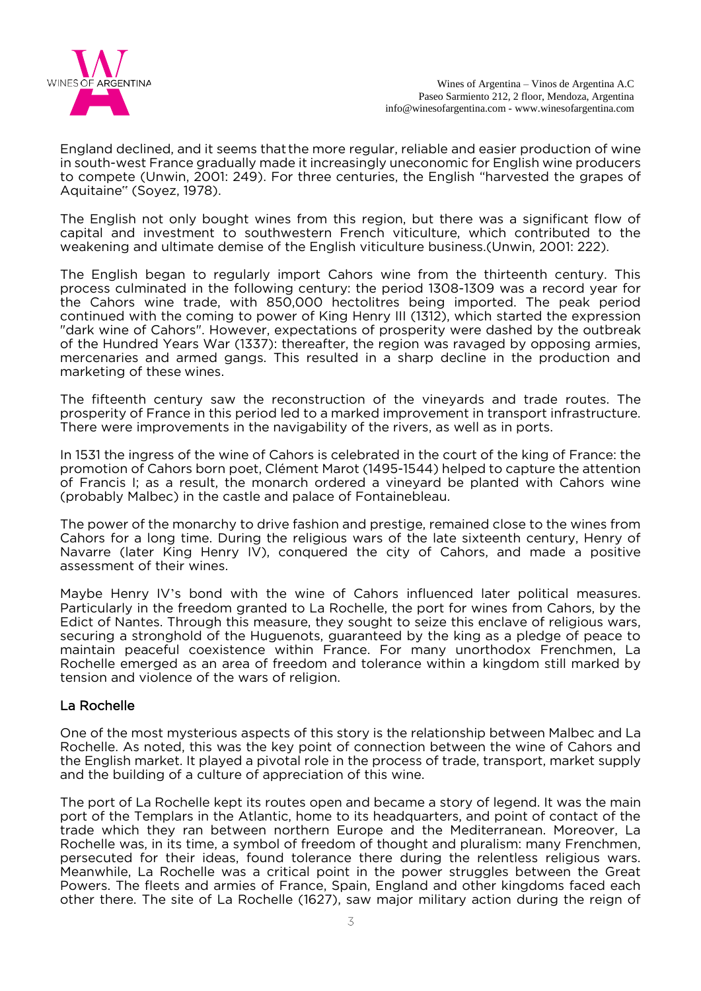

England declined, and it seems that the more regular, reliable and easier production of wine in south-west France gradually made it increasingly uneconomic for English wine producers to compete (Unwin, 2001: 249). For three centuries, the English "harvested the grapes of Aquitaine" (Soyez, 1978).

The English not only bought wines from this region, but there was a significant flow of capital and investment to southwestern French viticulture, which contributed to the weakening and ultimate demise of the English viticulture business.(Unwin, 2001: 222).

The English began to regularly import Cahors wine from the thirteenth century. This process culminated in the following century: the period 1308-1309 was a record year for the Cahors wine trade, with 850,000 hectolitres being imported. The peak period continued with the coming to power of King Henry III (1312), which started the expression "dark wine of Cahors". However, expectations of prosperity were dashed by the outbreak of the Hundred Years War (1337): thereafter, the region was ravaged by opposing armies, mercenaries and armed gangs. This resulted in a sharp decline in the production and marketing of these wines.

The fifteenth century saw the reconstruction of the vineyards and trade routes. The prosperity of France in this period led to a marked improvement in transport infrastructure. There were improvements in the navigability of the rivers, as well as in ports.

In 1531 the ingress of the wine of Cahors is celebrated in the court of the king of France: the promotion of Cahors born poet, Clément Marot (1495-1544) helped to capture the attention of Francis I; as a result, the monarch ordered a vineyard be planted with Cahors wine (probably Malbec) in the castle and palace of Fontainebleau.

The power of the monarchy to drive fashion and prestige, remained close to the wines from Cahors for a long time. During the religious wars of the late sixteenth century, Henry of Navarre (later King Henry IV), conquered the city of Cahors, and made a positive assessment of their wines.

Maybe Henry IV's bond with the wine of Cahors influenced later political measures. Particularly in the freedom granted to La Rochelle, the port for wines from Cahors, by the Edict of Nantes. Through this measure, they sought to seize this enclave of religious wars, securing a stronghold of the Huguenots, guaranteed by the king as a pledge of peace to maintain peaceful coexistence within France. For many unorthodox Frenchmen, La Rochelle emerged as an area of freedom and tolerance within a kingdom still marked by tension and violence of the wars of religion.

### La Rochelle

One of the most mysterious aspects of this story is the relationship between Malbec and La Rochelle. As noted, this was the key point of connection between the wine of Cahors and the English market. It played a pivotal role in the process of trade, transport, market supply and the building of a culture of appreciation of this wine.

The port of La Rochelle kept its routes open and became a story of legend. It was the main port of the Templars in the Atlantic, home to its headquarters, and point of contact of the trade which they ran between northern Europe and the Mediterranean. Moreover, La Rochelle was, in its time, a symbol of freedom of thought and pluralism: many Frenchmen, persecuted for their ideas, found tolerance there during the relentless religious wars. Meanwhile, La Rochelle was a critical point in the power struggles between the Great Powers. The fleets and armies of France, Spain, England and other kingdoms faced each other there. The site of La Rochelle (1627), saw major military action during the reign of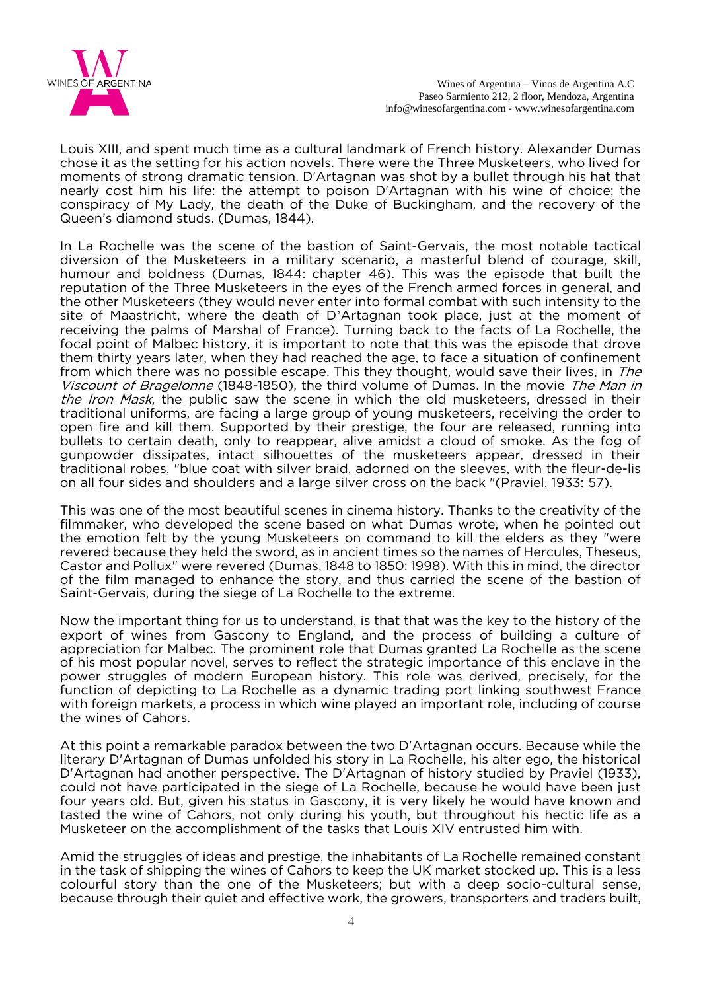

Louis XIII, and spent much time as a cultural landmark of French history. Alexander Dumas chose it as the setting for his action novels. There were the Three Musketeers, who lived for moments of strong dramatic tension. D'Artagnan was shot by a bullet through his hat that nearly cost him his life: the attempt to poison D'Artagnan with his wine of choice; the conspiracy of My Lady, the death of the Duke of Buckingham, and the recovery of the Queen's diamond studs. (Dumas, 1844).

In La Rochelle was the scene of the bastion of Saint-Gervais, the most notable tactical diversion of the Musketeers in a military scenario, a masterful blend of courage, skill, humour and boldness (Dumas, 1844: chapter 46). This was the episode that built the reputation of the Three Musketeers in the eyes of the French armed forces in general, and the other Musketeers (they would never enter into formal combat with such intensity to the site of Maastricht, where the death of D'Artagnan took place, just at the moment of receiving the palms of Marshal of France). Turning back to the facts of La Rochelle, the focal point of Malbec history, it is important to note that this was the episode that drove them thirty years later, when they had reached the age, to face a situation of confinement from which there was no possible escape. This they thought, would save their lives, in The Viscount of Bragelonne (1848-1850), the third volume of Dumas. In the movie The Man in the Iron Mask, the public saw the scene in which the old musketeers, dressed in their traditional uniforms, are facing a large group of young musketeers, receiving the order to open fire and kill them. Supported by their prestige, the four are released, running into bullets to certain death, only to reappear, alive amidst a cloud of smoke. As the fog of gunpowder dissipates, intact silhouettes of the musketeers appear, dressed in their traditional robes, "blue coat with silver braid, adorned on the sleeves, with the fleur-de-lis on all four sides and shoulders and a large silver cross on the back "(Praviel, 1933: 57).

This was one of the most beautiful scenes in cinema history. Thanks to the creativity of the filmmaker, who developed the scene based on what Dumas wrote, when he pointed out the emotion felt by the young Musketeers on command to kill the elders as they "were revered because they held the sword, as in ancient times so the names of Hercules, Theseus, Castor and Pollux" were revered (Dumas, 1848 to 1850: 1998). With this in mind, the director of the film managed to enhance the story, and thus carried the scene of the bastion of Saint-Gervais, during the siege of La Rochelle to the extreme.

Now the important thing for us to understand, is that that was the key to the history of the export of wines from Gascony to England, and the process of building a culture of appreciation for Malbec. The prominent role that Dumas granted La Rochelle as the scene of his most popular novel, serves to reflect the strategic importance of this enclave in the power struggles of modern European history. This role was derived, precisely, for the function of depicting to La Rochelle as a dynamic trading port linking southwest France with foreign markets, a process in which wine played an important role, including of course the wines of Cahors.

At this point a remarkable paradox between the two D'Artagnan occurs. Because while the literary D'Artagnan of Dumas unfolded his story in La Rochelle, his alter ego, the historical D'Artagnan had another perspective. The D'Artagnan of history studied by Praviel (1933), could not have participated in the siege of La Rochelle, because he would have been just four years old. But, given his status in Gascony, it is very likely he would have known and tasted the wine of Cahors, not only during his youth, but throughout his hectic life as a Musketeer on the accomplishment of the tasks that Louis XIV entrusted him with.

Amid the struggles of ideas and prestige, the inhabitants of La Rochelle remained constant in the task of shipping the wines of Cahors to keep the UK market stocked up. This is a less colourful story than the one of the Musketeers; but with a deep socio-cultural sense, because through their quiet and effective work, the growers, transporters and traders built,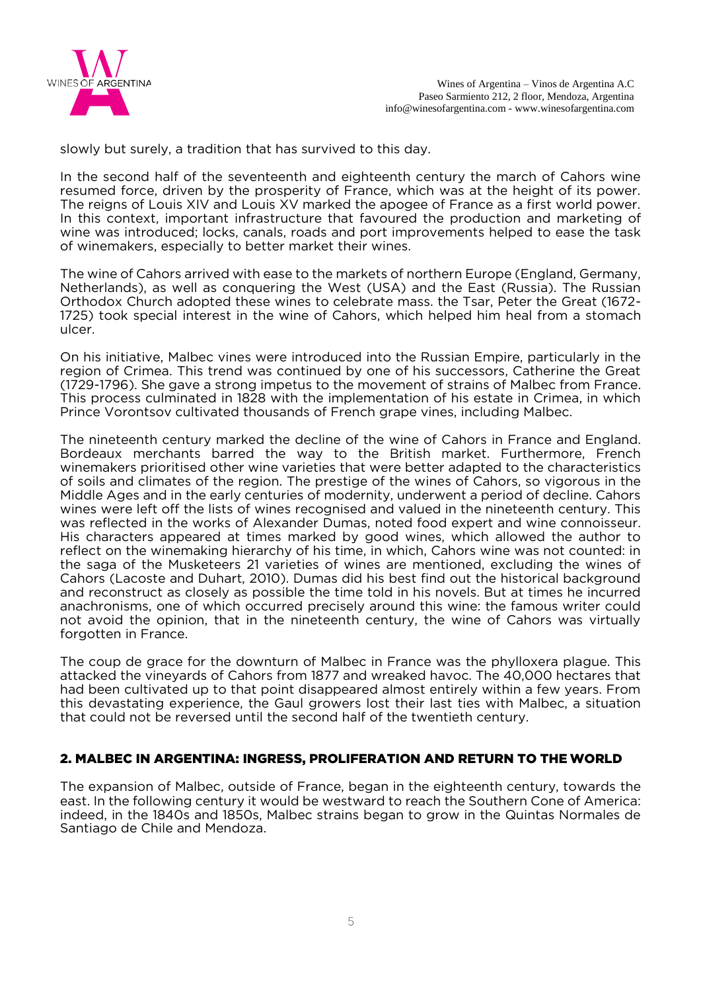

slowly but surely, a tradition that has survived to this day.

In the second half of the seventeenth and eighteenth century the march of Cahors wine resumed force, driven by the prosperity of France, which was at the height of its power. The reigns of Louis XIV and Louis XV marked the apogee of France as a first world power. In this context, important infrastructure that favoured the production and marketing of wine was introduced; locks, canals, roads and port improvements helped to ease the task of winemakers, especially to better market their wines.

The wine of Cahors arrived with ease to the markets of northern Europe (England, Germany, Netherlands), as well as conquering the West (USA) and the East (Russia). The Russian Orthodox Church adopted these wines to celebrate mass. the Tsar, Peter the Great (1672- 1725) took special interest in the wine of Cahors, which helped him heal from a stomach ulcer.

On his initiative, Malbec vines were introduced into the Russian Empire, particularly in the region of Crimea. This trend was continued by one of his successors, Catherine the Great (1729-1796). She gave a strong impetus to the movement of strains of Malbec from France. This process culminated in 1828 with the implementation of his estate in Crimea, in which Prince Vorontsov cultivated thousands of French grape vines, including Malbec.

The nineteenth century marked the decline of the wine of Cahors in France and England. Bordeaux merchants barred the way to the British market. Furthermore, French winemakers prioritised other wine varieties that were better adapted to the characteristics of soils and climates of the region. The prestige of the wines of Cahors, so vigorous in the Middle Ages and in the early centuries of modernity, underwent a period of decline. Cahors wines were left off the lists of wines recognised and valued in the nineteenth century. This was reflected in the works of Alexander Dumas, noted food expert and wine connoisseur. His characters appeared at times marked by good wines, which allowed the author to reflect on the winemaking hierarchy of his time, in which, Cahors wine was not counted: in the saga of the Musketeers 21 varieties of wines are mentioned, excluding the wines of Cahors (Lacoste and Duhart, 2010). Dumas did his best find out the historical background and reconstruct as closely as possible the time told in his novels. But at times he incurred anachronisms, one of which occurred precisely around this wine: the famous writer could not avoid the opinion, that in the nineteenth century, the wine of Cahors was virtually forgotten in France.

The coup de grace for the downturn of Malbec in France was the phylloxera plague. This attacked the vineyards of Cahors from 1877 and wreaked havoc. The 40,000 hectares that had been cultivated up to that point disappeared almost entirely within a few years. From this devastating experience, the Gaul growers lost their last ties with Malbec, a situation that could not be reversed until the second half of the twentieth century.

### 2. MALBEC IN ARGENTINA: INGRESS, PROLIFERATION AND RETURN TO THE WORLD

The expansion of Malbec, outside of France, began in the eighteenth century, towards the east. In the following century it would be westward to reach the Southern Cone of America: indeed, in the 1840s and 1850s, Malbec strains began to grow in the Quintas Normales de Santiago de Chile and Mendoza.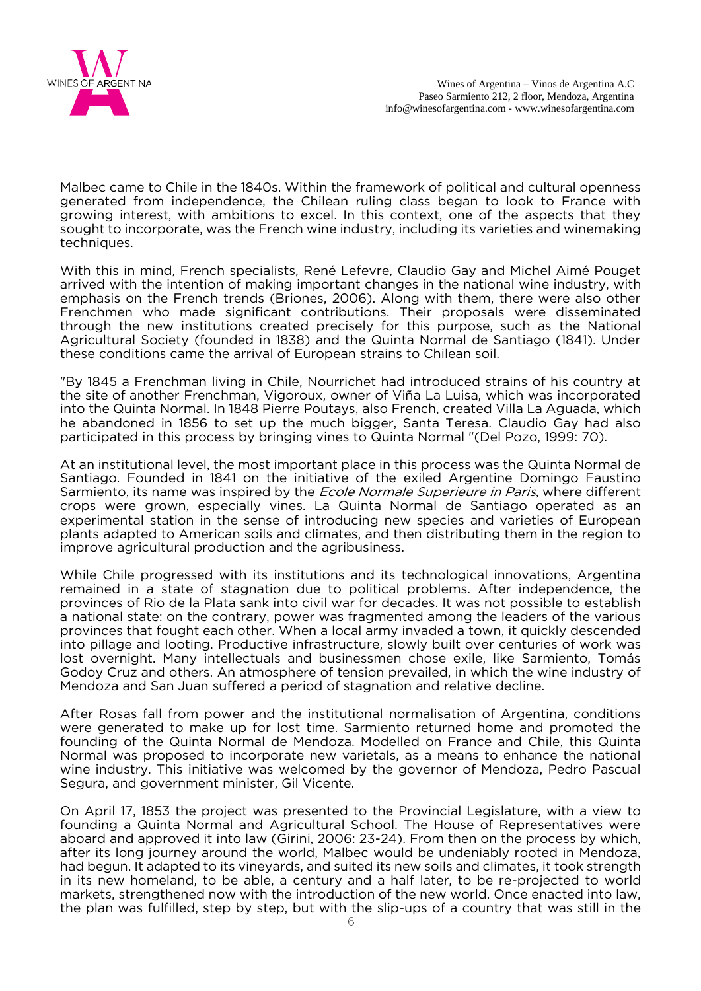

Malbec came to Chile in the 1840s. Within the framework of political and cultural openness generated from independence, the Chilean ruling class began to look to France with growing interest, with ambitions to excel. In this context, one of the aspects that they sought to incorporate, was the French wine industry, including its varieties and winemaking techniques.

With this in mind, French specialists, René Lefevre, Claudio Gay and Michel Aimé Pouget arrived with the intention of making important changes in the national wine industry, with emphasis on the French trends (Briones, 2006). Along with them, there were also other Frenchmen who made significant contributions. Their proposals were disseminated through the new institutions created precisely for this purpose, such as the National Agricultural Society (founded in 1838) and the Quinta Normal de Santiago (1841). Under these conditions came the arrival of European strains to Chilean soil.

"By 1845 a Frenchman living in Chile, Nourrichet had introduced strains of his country at the site of another Frenchman, Vigoroux, owner of Viña La Luisa, which was incorporated into the Quinta Normal. In 1848 Pierre Poutays, also French, created Villa La Aguada, which he abandoned in 1856 to set up the much bigger, Santa Teresa. Claudio Gay had also participated in this process by bringing vines to Quinta Normal "(Del Pozo, 1999: 70).

At an institutional level, the most important place in this process was the Quinta Normal de Santiago. Founded in 1841 on the initiative of the exiled Argentine Domingo Faustino Sarmiento, its name was inspired by the *Ecole Normale Superieure in Paris*, where different crops were grown, especially vines. La Quinta Normal de Santiago operated as an experimental station in the sense of introducing new species and varieties of European plants adapted to American soils and climates, and then distributing them in the region to improve agricultural production and the agribusiness.

While Chile progressed with its institutions and its technological innovations, Argentina remained in a state of stagnation due to political problems. After independence, the provinces of Rio de la Plata sank into civil war for decades. It was not possible to establish a national state: on the contrary, power was fragmented among the leaders of the various provinces that fought each other. When a local army invaded a town, it quickly descended into pillage and looting. Productive infrastructure, slowly built over centuries of work was lost overnight. Many intellectuals and businessmen chose exile, like Sarmiento, Tomás Godoy Cruz and others. An atmosphere of tension prevailed, in which the wine industry of Mendoza and San Juan suffered a period of stagnation and relative decline.

After Rosas fall from power and the institutional normalisation of Argentina, conditions were generated to make up for lost time. Sarmiento returned home and promoted the founding of the Quinta Normal de Mendoza. Modelled on France and Chile, this Quinta Normal was proposed to incorporate new varietals, as a means to enhance the national wine industry. This initiative was welcomed by the governor of Mendoza, Pedro Pascual Segura, and government minister, Gil Vicente.

On April 17, 1853 the project was presented to the Provincial Legislature, with a view to founding a Quinta Normal and Agricultural School. The House of Representatives were aboard and approved it into law (Girini, 2006: 23-24). From then on the process by which, after its long journey around the world, Malbec would be undeniably rooted in Mendoza, had begun. It adapted to its vineyards, and suited its new soils and climates, it took strength in its new homeland, to be able, a century and a half later, to be re-projected to world markets, strengthened now with the introduction of the new world. Once enacted into law, the plan was fulfilled, step by step, but with the slip-ups of a country that was still in the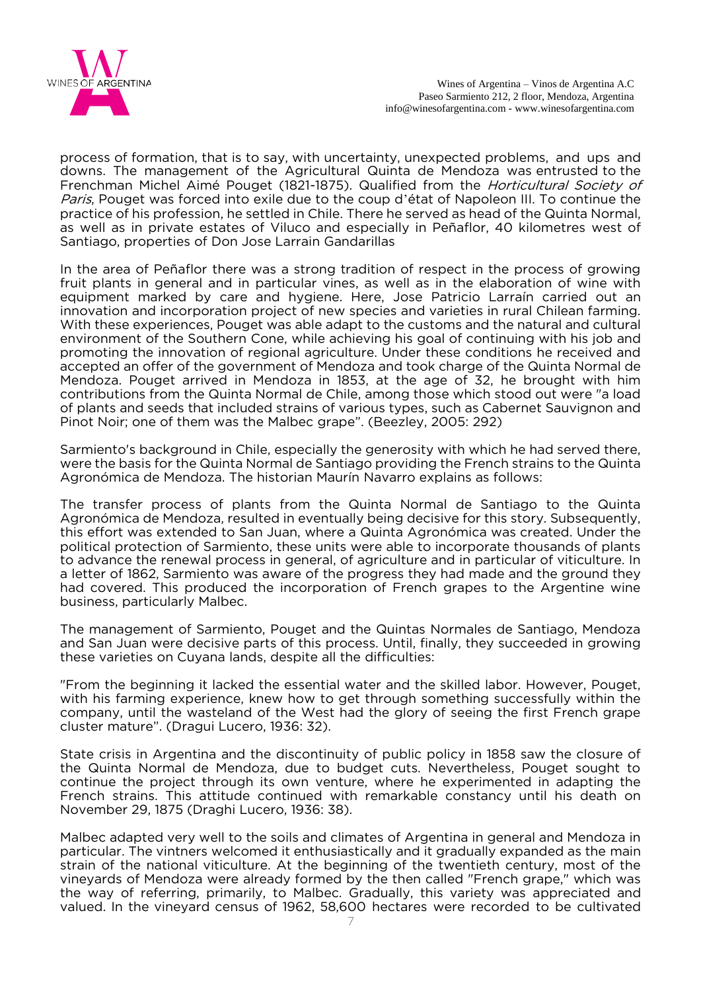

process of formation, that is to say, with uncertainty, unexpected problems, and ups and downs. The management of the Agricultural Quinta de Mendoza was entrusted to the Frenchman Michel Aimé Pouget (1821-1875). Qualified from the *Horticultural Society of* Paris, Pouget was forced into exile due to the coup d'état of Napoleon III. To continue the practice of his profession, he settled in Chile. There he served as head of the Quinta Normal, as well as in private estates of Viluco and especially in Peñaflor, 40 kilometres west of Santiago, properties of Don Jose Larrain Gandarillas

In the area of Peñaflor there was a strong tradition of respect in the process of growing fruit plants in general and in particular vines, as well as in the elaboration of wine with equipment marked by care and hygiene. Here, Jose Patricio Larraín carried out an innovation and incorporation project of new species and varieties in rural Chilean farming. With these experiences, Pouget was able adapt to the customs and the natural and cultural environment of the Southern Cone, while achieving his goal of continuing with his job and promoting the innovation of regional agriculture. Under these conditions he received and accepted an offer of the government of Mendoza and took charge of the Quinta Normal de Mendoza. Pouget arrived in Mendoza in 1853, at the age of 32, he brought with him contributions from the Quinta Normal de Chile, among those which stood out were "a load of plants and seeds that included strains of various types, such as Cabernet Sauvignon and Pinot Noir; one of them was the Malbec grape". (Beezley, 2005: 292)

Sarmiento's background in Chile, especially the generosity with which he had served there, were the basis for the Quinta Normal de Santiago providing the French strains to the Quinta Agronómica de Mendoza. The historian Maurín Navarro explains as follows:

The transfer process of plants from the Quinta Normal de Santiago to the Quinta Agronómica de Mendoza, resulted in eventually being decisive for this story. Subsequently, this effort was extended to San Juan, where a Quinta Agronómica was created. Under the political protection of Sarmiento, these units were able to incorporate thousands of plants to advance the renewal process in general, of agriculture and in particular of viticulture. In a letter of 1862, Sarmiento was aware of the progress they had made and the ground they had covered. This produced the incorporation of French grapes to the Argentine wine business, particularly Malbec.

The management of Sarmiento, Pouget and the Quintas Normales de Santiago, Mendoza and San Juan were decisive parts of this process. Until, finally, they succeeded in growing these varieties on Cuyana lands, despite all the difficulties:

"From the beginning it lacked the essential water and the skilled labor. However, Pouget, with his farming experience, knew how to get through something successfully within the company, until the wasteland of the West had the glory of seeing the first French grape cluster mature". (Dragui Lucero, 1936: 32).

State crisis in Argentina and the discontinuity of public policy in 1858 saw the closure of the Quinta Normal de Mendoza, due to budget cuts. Nevertheless, Pouget sought to continue the project through its own venture, where he experimented in adapting the French strains. This attitude continued with remarkable constancy until his death on November 29, 1875 (Draghi Lucero, 1936: 38).

Malbec adapted very well to the soils and climates of Argentina in general and Mendoza in particular. The vintners welcomed it enthusiastically and it gradually expanded as the main strain of the national viticulture. At the beginning of the twentieth century, most of the vineyards of Mendoza were already formed by the then called "French grape," which was the way of referring, primarily, to Malbec. Gradually, this variety was appreciated and valued. In the vineyard census of 1962, 58,600 hectares were recorded to be cultivated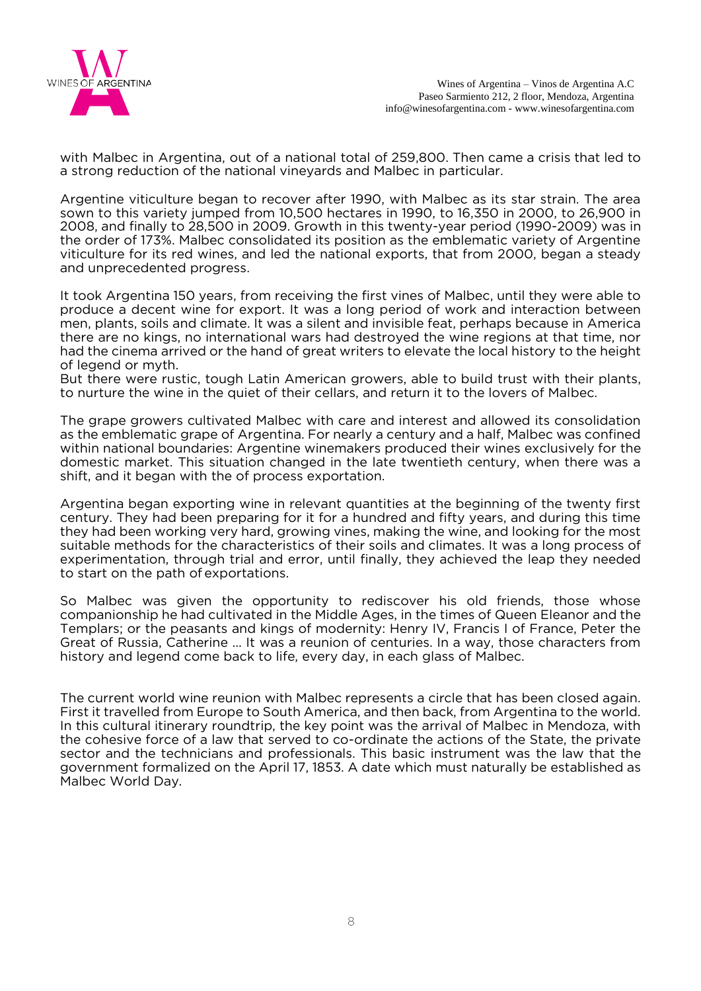

with Malbec in Argentina, out of a national total of 259,800. Then came a crisis that led to a strong reduction of the national vineyards and Malbec in particular.

Argentine viticulture began to recover after 1990, with Malbec as its star strain. The area sown to this variety jumped from 10,500 hectares in 1990, to 16,350 in 2000, to 26,900 in 2008, and finally to 28,500 in 2009. Growth in this twenty-year period (1990-2009) was in the order of 173%. Malbec consolidated its position as the emblematic variety of Argentine viticulture for its red wines, and led the national exports, that from 2000, began a steady and unprecedented progress.

It took Argentina 150 years, from receiving the first vines of Malbec, until they were able to produce a decent wine for export. It was a long period of work and interaction between men, plants, soils and climate. It was a silent and invisible feat, perhaps because in America there are no kings, no international wars had destroyed the wine regions at that time, nor had the cinema arrived or the hand of great writers to elevate the local history to the height of legend or myth.

But there were rustic, tough Latin American growers, able to build trust with their plants, to nurture the wine in the quiet of their cellars, and return it to the lovers of Malbec.

The grape growers cultivated Malbec with care and interest and allowed its consolidation as the emblematic grape of Argentina. For nearly a century and a half, Malbec was confined within national boundaries: Argentine winemakers produced their wines exclusively for the domestic market. This situation changed in the late twentieth century, when there was a shift, and it began with the of process exportation.

Argentina began exporting wine in relevant quantities at the beginning of the twenty first century. They had been preparing for it for a hundred and fifty years, and during this time they had been working very hard, growing vines, making the wine, and looking for the most suitable methods for the characteristics of their soils and climates. It was a long process of experimentation, through trial and error, until finally, they achieved the leap they needed to start on the path of exportations.

So Malbec was given the opportunity to rediscover his old friends, those whose companionship he had cultivated in the Middle Ages, in the times of Queen Eleanor and the Templars; or the peasants and kings of modernity: Henry IV, Francis I of France, Peter the Great of Russia, Catherine ... It was a reunion of centuries. In a way, those characters from history and legend come back to life, every day, in each glass of Malbec.

The current world wine reunion with Malbec represents a circle that has been closed again. First it travelled from Europe to South America, and then back, from Argentina to the world. In this cultural itinerary roundtrip, the key point was the arrival of Malbec in Mendoza, with the cohesive force of a law that served to co-ordinate the actions of the State, the private sector and the technicians and professionals. This basic instrument was the law that the government formalized on the April 17, 1853. A date which must naturally be established as Malbec World Day.